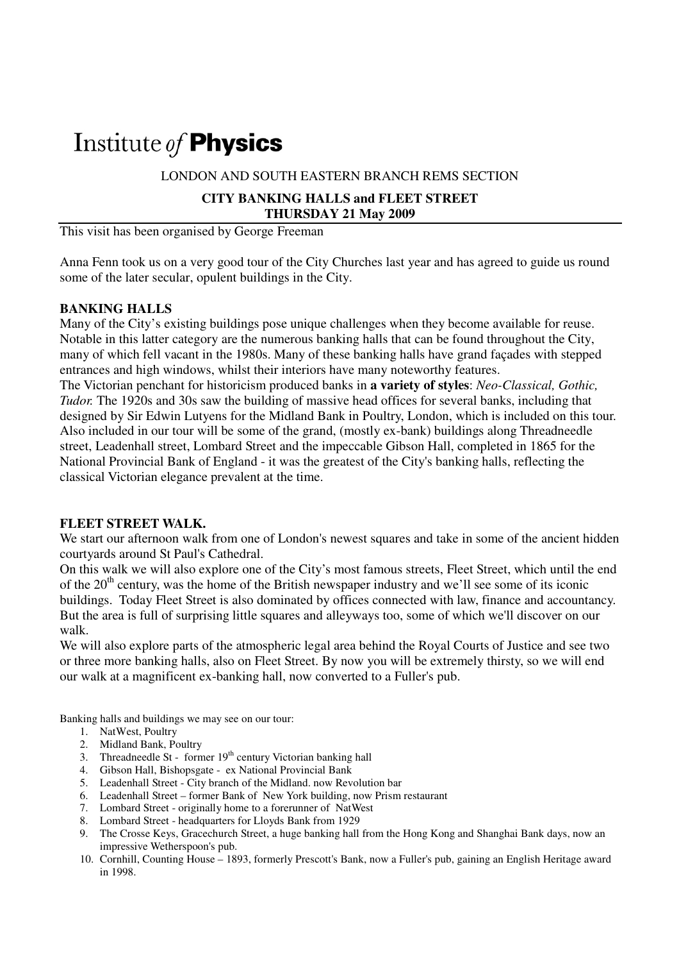# Institute of **Physics**

LONDON AND SOUTH EASTERN BRANCH REMS SECTION

### **CITY BANKING HALLS and FLEET STREET THURSDAY 21 May 2009**

This visit has been organised by George Freeman

Anna Fenn took us on a very good tour of the City Churches last year and has agreed to guide us round some of the later secular, opulent buildings in the City.

## **BANKING HALLS**

Many of the City's existing buildings pose unique challenges when they become available for reuse. Notable in this latter category are the numerous banking halls that can be found throughout the City, many of which fell vacant in the 1980s. Many of these banking halls have grand façades with stepped entrances and high windows, whilst their interiors have many noteworthy features.

The Victorian penchant for historicism produced banks in **a variety of styles**: *Neo-Classical, Gothic, Tudor.* The 1920s and 30s saw the building of massive head offices for several banks, including that designed by Sir Edwin Lutyens for the Midland Bank in Poultry, London, which is included on this tour. Also included in our tour will be some of the grand, (mostly ex-bank) buildings along Threadneedle street, Leadenhall street, Lombard Street and the impeccable Gibson Hall, completed in 1865 for the National Provincial Bank of England - it was the greatest of the City's banking halls, reflecting the classical Victorian elegance prevalent at the time.

#### **FLEET STREET WALK.**

We start our afternoon walk from one of London's newest squares and take in some of the ancient hidden courtyards around St Paul's Cathedral.

On this walk we will also explore one of the City's most famous streets, Fleet Street, which until the end of the  $20<sup>th</sup>$  century, was the home of the British newspaper industry and we'll see some of its iconic buildings. Today Fleet Street is also dominated by offices connected with law, finance and accountancy. But the area is full of surprising little squares and alleyways too, some of which we'll discover on our walk.

We will also explore parts of the atmospheric legal area behind the Royal Courts of Justice and see two or three more banking halls, also on Fleet Street. By now you will be extremely thirsty, so we will end our walk at a magnificent ex-banking hall, now converted to a Fuller's pub.

Banking halls and buildings we may see on our tour:

- 1. NatWest, Poultry
- 2. Midland Bank, Poultry
- 3. Threadneedle St former  $19<sup>th</sup>$  century Victorian banking hall
- 4. Gibson Hall, Bishopsgate ex National Provincial Bank
- 5. Leadenhall Street City branch of the Midland. now Revolution bar
- 6. Leadenhall Street former Bank of New York building, now Prism restaurant
- 7. Lombard Street originally home to a forerunner of NatWest
- 8. Lombard Street headquarters for Lloyds Bank from 1929
- 9. The Crosse Keys, Gracechurch Street, a huge banking hall from the Hong Kong and Shanghai Bank days, now an impressive Wetherspoon's pub.
- 10. Cornhill, Counting House 1893, formerly Prescott's Bank, now a Fuller's pub, gaining an English Heritage award in 1998.